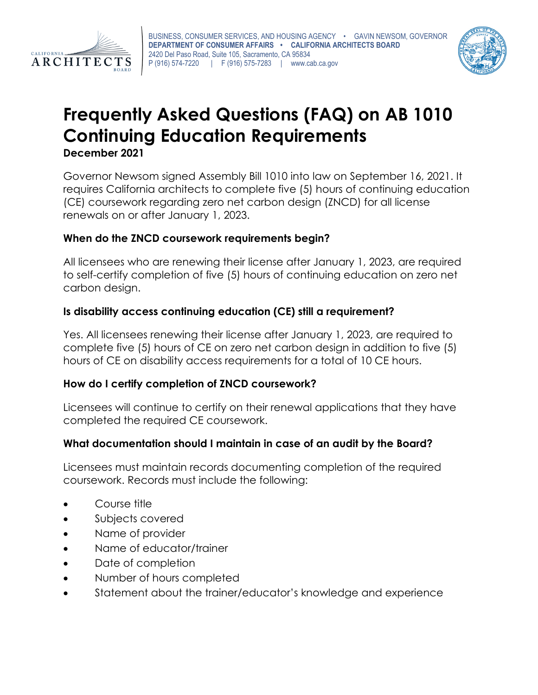



# **Frequently Asked Questions (FAQ) on AB 1010 Continuing Education Requirements**

**December 2021**

Governor Newsom signed Assembly Bill 1010 into law on September 16, 2021. It requires California architects to complete five (5) hours of continuing education (CE) coursework regarding zero net carbon design (ZNCD) for all license renewals on or after January 1, 2023.

## **When do the ZNCD coursework requirements begin?**

All licensees who are renewing their license after January 1, 2023, are required to self-certify completion of five (5) hours of continuing education on zero net carbon design.

## **Is disability access continuing education (CE) still a requirement?**

Yes. All licensees renewing their license after January 1, 2023, are required to complete five (5) hours of CE on zero net carbon design in addition to five (5) hours of CE on disability access requirements for a total of 10 CE hours.

#### **How do I certify completion of ZNCD coursework?**

Licensees will continue to certify on their renewal applications that they have completed the required CE coursework.

# **What documentation should I maintain in case of an audit by the Board?**

Licensees must maintain records documenting completion of the required coursework. Records must include the following:

- Course title
- Subjects covered
- Name of provider
- Name of educator/trainer
- Date of completion
- Number of hours completed
- Statement about the trainer/educator's knowledge and experience